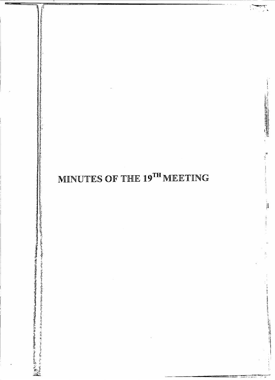# MINUTES OF THE 19<sup>TH</sup> MEETING

经未发行人 医结肠切除术 医前缀鼻音 化分析机系统

●第1世紀『『東京の東北総合の東京の東京の東京の東京の大学の大学の

「増設者のあるのか、例如する」 

医前缀

**MARKET MESS** PROPERTY

ない<br>本当に<br>本当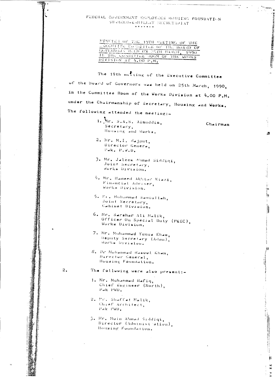FEDERAL GOVERNMENT ESPLOYEES HOUSING FOUNDATION SURRED-E-FILLAT SECRETARIAT 

MINUTES OF THE 19TH MEETING OF THE COVERING CORNELLE OF THE BOARD OF TE THE CONGITTLE ROOM OF THE WORKS

The 19th meeting of the Executive Committee of the Board of Governors was held on 25th March, 1990, in the Committee Room of the Works Division at 4.00 P.M. under the Chairmanship of Secretary, Housing and Works. The following attended the meeting:-

> $1. \frac{1}{\sqrt{2}}$   $r_*$  S.A.S. Ainuddin, Secretary, Housing and Works.

Chairman

罻

Ą

in.<br>Ç ķ

「大学の学校の研究」<br>「大学の研究」<br>「大学の研究」

Ŧ.

1đ<br>NG ar<br>İst

- 2. Mr. M.I. Rajput, Director Genera,  $\mathbf{P}_m\mathbf{k}_+$  ,  $\mathbf{P}_m\mathbf{W}_m\mathbf{D}_m$
- 3. Mr. Jalees Mimad Siddiqi, Joint Secretary, Works Division.
- h. Mr. Humeed Akhtar Niazi, Financial Adviser, Works Division.
- 5. Mr. Mohammad Samiullah, Joint Secretary, Cabinet Division.
- 6. Mr. Sarshar Ali Malik, Officer On Special Duty (P&EC), Works Division.
- 7. Mr. Muhammad Yunus Khan, Deputy Secretary (Adam), Works Division.
- 8. Dr Mohammad Rusool Khan, Director Ceneral, Housing Foundation.
- $2.$
- The following were also present:-
- 1. Mr. Muhammad Rafiq, Chief Engineer (North), Pak PWD.
- 2. Mr. Shaffat Malik, Chief Architect,  $P$ ak  $PWD$ .
- 3. Mr. Moin Ahmad Siddiqi, Director (Administration), Housing Foundation.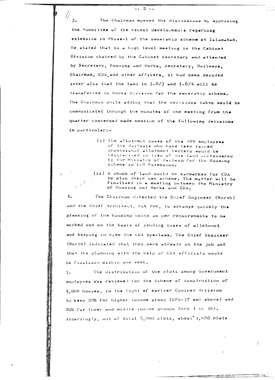$-: 2 : -$ 

 $\frac{1}{3}$ The Chairman opened the discussions by apprising the Committee of the recent developments regarding extension in Phase-I of the ownership scheme at Islamabad. He stated that in a high level meeting in the Cabinet Division chaired by the Cabinet Secretary and attended by Secretary, Housing and Works, Secretary, Railways, Chairman, CDA, and other officers, it had been decided inter alia that the land in  $I-8/3$  and  $I-8/4$  will be transferred to Works Division for the ownership scheme. The Chairman while adding that the decisions taken would be communicated through the minutes of the meeting from the quarter concerned made mention of the fullowing decisions in particular:-

- (i) The allotment cases of the 109 employees of the Ruilways who have been issued provisional allotment letters would be regularised in Lieu of the land aurrendered, by the Ministry of Railway, for the Housing Scheme in  $1-8$  "xtension.
- (ii) A chunk of land would be earmarked for CDA to plan their own scheme. The matter will be finalised in a meeting between the Ministry of Housing and Works and CDA.

4. The Chairman directed the Chief Engineer (North) and the Chief Architect, Pak PWD, to arrange quickly the planning of the housing units as per requirements to be worked out on the basis of pending cases of allotment and keeping in view the CDA bye-laws. The Chief Engineer (North) indicated that they were already on the job and that the planning with the help of CDA officials would be finalised within one week.

The distribution of the plots among Government  $5.$ employees was reviewed for the Scheme of construction of 5,000 houses, in the light of earlier Cabinet decision to keep 20% for higher micome group (BPS-17 and above) and 80% for lower and middle income groups (BPS 1 to 16). Accordingly, ont of total 5,000 plots, about 1,000 plots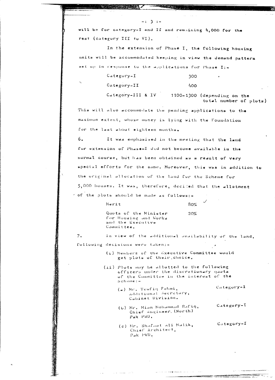will be for category-I and II and remaining 4,000 for the rest (category III to VI).

 $-: 3 : -$ 

In the extension of Phase I, the following housing units will be accommodated keeping in view the demand pattern set up in response to the applications for Phase I:-

 $Categorical$ 300 Category-II  $400$ Category-III & IV 1100-1300 (depending on the

total number of plots)

This will also accommodate the pending applications to the maximum extent, whose money is lying with the Foundation for the last about eighteen months.

 $6.$ It was emphasised in the meeting that the land for extension of Phase-I did not become available in the normal course, but has been obtained as a result of very special efforts for the same. Moreover, this was in addition to the original allocation of the land for the Scheme for 5,000 houses. It was, therefore, decited that the allotment of the plots should be made as follows:-

Nerit

 $80%$ 

20%

Quota of the Minister for Housing and Works and the Executive Committee.

 $7.$ 

following decisions were taken:-

(i) Nembers of the executive Committee would get plots of their choice.

In view of the additional availability of the land,

- (ii) Plots may be allotted to the following officers under the discretionary quota of the Committee in the interest of the  $Schume: -$ 
	- (a) Mr. Tewfiq Fehmi, Additional Secretary, Cabinet Division.
	- $C_4$ tegory-I (b) Mr. Mian Mohammad Rafiq, Chief Engineer, (North) Pak PWD.
	- (c) Mr. Shafaat Ali Malik, Chief Architect, Pak PWD.

Category-I

Category-I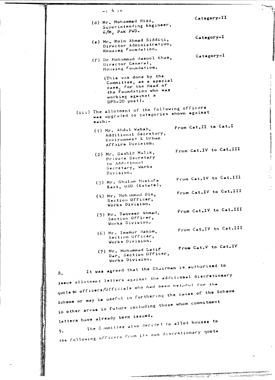| $-14$                                                                                     |                          |
|-------------------------------------------------------------------------------------------|--------------------------|
|                                                                                           | Category-II              |
| (d) Mr. Mohammad Riaz,<br>Superintending Engineer,<br>E/M, Pak PWD.                       |                          |
| (e) Mr. Moin Ahmad Siddiqi,<br>Director Administration,<br>Housing Foundation.            | Category-I               |
| (f) Dr Mohammad Rasool Khan,<br>Director General,                                         | Category-I               |
| Housing roundation.<br>(This was done by the                                              |                          |
| Committee, as a special<br>case, for the Head of                                          |                          |
| the Foundation who was<br>working against a<br>$BPS=20$ post).                            |                          |
| (iii) The allotment of the following officers<br>was upgraded to categories shown against |                          |
| $a \cdot ch :=$                                                                           |                          |
| (1) Mr. Abdul Wahab,<br>Additional Secretary,<br>Environment & Urban<br>Affairs Division. | From Cat.II to Cat.I     |
| (2) Mr. Bashir Malik,<br>Private Secretary                                                | From Cat. IV to Cat. III |
| to Additional<br>Secretary, Works<br>Division.                                            |                          |
| (3) Mr. Ghulam Mustafa<br>Kazi, USD (Estate).                                             | From Cat. IV to Cat. III |
| (4) Mr. Mohammad Din,<br>Section Officer,<br>Works Division.                              | From Cat.IV to Cat.III   |
| (5) Mr. Tanveer Ahmad,<br>Section Officer,<br>Works Division.                             | From Cat.IV to Cat.III   |
| (6) Mr. Inamur Rahim,<br>Section Officer,<br>Works Division.                              | From Cat.IV to Cat.III   |
| (7) Mr. Mohammad Latif<br>Dar, Section Officer,<br>Works Division.                        | From Cat.V to Cat.IV     |
| It was agreed that the Chairman is authorised to<br>8.                                    |                          |
| issue allotment letters against the additional discretionary                              |                          |
| quota to officers/Officials who had been helpful for the                                  |                          |
| Scheme or may be useful in furthering the cause of the Scheme                             |                          |
| in other areas in future including those whom commitment                                  |                          |
| letters have already been issued.                                                         |                          |
| The Committee also decided to allot houses to                                             |                          |
| the following officers from its own discretionary quota                                   |                          |
|                                                                                           |                          |

 $\frac{1}{\sqrt{2}}$ 

 $\frac{1}{2}$  $\bar{\gamma}$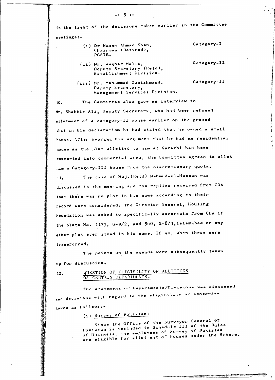$-: 5 : -$ 

in the light of the decisions taken earlier in the Committee

meetings:-

- (i) Dr Nasem Ahmad Khan. Chairman (Retired), PCSIR.
- (ii) Mr. Asghar Malik,<br>Deputy Secretary (Retd), Establishment Division.
- (iii) Mr. Mohammad Danishmand, Deputy Secretary, Management Services Division.

The Committoe also gave an interview to  $10.$ Mr. Shabbir Ali, Deputy Secretary, who had been refused allotment of a category-II house earlier on the ground that in his declaration he had stated that he owned a small house. After hearing his argument that he had no residential house as the plot allotted to him at Karachi had been converted into commercial area, the Committee agreed to allot him a Category-III house from the discretionary quota.

The case of Maj. (Retd) Mahmud-ul-Hassan was  $11.$ discussed in the meeting and the replies received from CDA that there was no plot in his name according to their record were considered. The Director General, Housing foundation was asked to specifically ascertain from CDA if the plots No. 1173,  $G-9/2$ , and 560,  $G-8/1$ , Islamabad or any ether plot ever stoed in his name. If so, when these were transforred.

The points on the agenda were subsequently taken up for discussion.

#### QUESTION OF ELIGIBILITY OF ALLOTTEES  $12.$ OF CERTAIN DEPARTMENTS.

The statement of Departments/Divisions was discussed and decisions with regard to the eligibility or otherwise taken as follows:-

(i) Survey of Pakistan:

Since the Office of the Surveyor General of Pakistan is included in Schedule III of the Rulos of Business, the employees of Survey of Pakistan are eligible for allotment of houses under the Scheme.

Category-I

Category-II

Category-II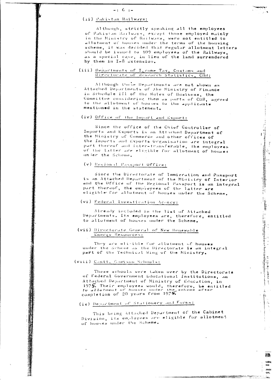#### (ii) Pakistan Railways:

Although, strictly speaking all the employees of Pakistan Railways, except those employed mainly in the Ministry of Railways, were not entitled to allotment of houses under the terms of the housing scheme, it was decided that regular allotment letters should be issued to 109 employees of the Railways, as a special case, in lieu of the land surrendered by them in  $I = 8$  extension.

#### (iii) Departments of Income Tax, Customs and Directorate of desearch Statistics, CBR;

Although these Departments are not shown as Attached Departments of the Ministry of Finance in Schedule III of the Rules of Business, the Committee considering them as parts of CBR, agreed to the allotment of houses to the applicants mentioned in the statement.

### (iv) Office of the Import and Export:

Since the office of the Chief Controller of Imports and Exports is an Attached Department of the Ministry of Commerce and other offices of the Imports and Exports Organisation are integral part thereof and inter-transferable, the employees of the latter are eligible for allotment of houses unler the Scheme.

#### (v) Regional Passport Office:

Since the Directorate of Immigration and Passport is an Attached Department of the Ministry of Interior and the Office of the Regional Passport is an integral part thereof, the employees of the latter are eligible for allotment of houses under the Scheme.

#### (vi) Federal Investigation Agency:

Already included in the list of Attached Departments. Its employees are, therefore, entitled to allotment of houses under the Scheme.

指挥者是更是法律的经过是为某人来了了? ( sum)为一个人,人不可以在这个人的人,我们就是我们的人,他们就是我们的人,我不能把他的事情,我们也不能会把我们的人,我们的人,我们的人,我们的人,我们的人

 $\vec{k}$ 

JB nding NG **ING!** ark,

#### (vii) Directorate General of New Renewable Energy Resources:

They are elisible for allotment of houses under the Scheme as the Directorate is an integral part of the Technical Wing of the Ministry.

#### (vill) Cantt, Gamison Schools:

These schools were taken over by the Directorate of Federal Government Educational Institutions, an Attached Department of Ministry of Education, in 1975. Their employees would, therefore, be entitled<br>to allotment of houses under the scheme after<br>completion of 20 years from 197%.

# (ix) Department of Stationery and Forms:

This being Attached Department of the Cabinet Division, its employees are eligible for allotment of houses under the Scheme.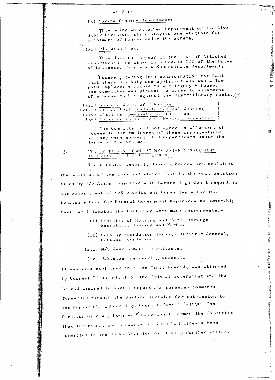#### $-: 7 : -$

## (x) Marine Fishery Department:

This being an Attached Department of the Live-Stock Division, its employees are eligible for allotment of houses under the Scheme.

#### (xi) Pikistan Mint:

This does not appear in the list of Attached Departments contained in Schedule III of the Rules of Business. This was a Subordinate Department.

1999年10月12日,1999年1月1日,1999年1月1日,1999年1月1日,1999年1月1日,1999年1月1日,1999年1月1日,1999年1月1日,1999年1月1日,1999年1月1 <br>1999年10月,1999年10月,1999年10月,1999年10月,1999年10月,1999年10月,1999年10月,1999年10月,1999年10月

ø

i<br>Wiliam

ŧ,

 $\tilde{g}(\tilde{g})$ 

4 编

2. 在2008年,我们的生活,我们的生活,我们的生活,我们的生活,我们的生活,我们的生活,我们的生活,我们的生活,我们的生活,我们的生活,我们的生活,我们的生活,我们的生活,我们的生活,我们的生活,

蠽

However, taking into consideration the fact that there was only one applicant who was a low paid employee eligible to a category-V house, the Committee was pleased to agree to allotment of a house to him against the discretionary quota.

- (xii) Supreme Court of Pakistan:
- (xiii) Jinnah Post draduate Medical Centre:<br>(xiv) Election Commission of Pakistan:<br>(xv) Pakistan Institute of Eedical Sciences:
	-

 $\lambda$ 

The Committee did not agree to allotment of houses to the employees of these organisations as they were non-entitled departments under the terms of the Scheme.

#### $13.$

#### WHIT PETITION FILED BY M/S ASIAN CONSULTANTS IN LARORE HIGH COURT, LARORE.

The Director General, Housing Foundation explained the position of the case and stated that in the writ petition. filed by M/S Asian Consultunts in Lahore High Court regarding the appointment of M/S Development Consultants for the housing scheme for Federal Government Employees on ownership basis at Islamabad the following were made respondents:-

- (i) Ministry of Housing and Works through Secretary, Housing and Works.
- (ii) Housing Foundation through Director General, Housing Foundation.

(iii) M/S Development Consultants.

(iv) Pakistan Engineering Council.

It was also expluined that the first hearing was attended by Counsel II on behalf of the Federal Government and that he had desired to have a report and parawise comments forwarded through the Justice Division for submission to the Honourable Lahore High Court before 4-4-1990. The Director General, Housing "oundation informed the Committee that the report and parawise comments had already been submitted to the works Division for taking further action.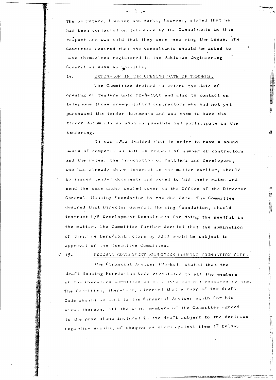#### $-18.1-$

The Secretary, Housing and Works, however, stated that he had been contacted on telephone by the Consultants in this respect and was told that they were resolving the issue. The Committee desired that the Consultants should be asked to have themselves registered in the Pakistan Engineering Conneil as soon as gestble.

 $14.$ 

# EXTENSION IN THE OPENING DATE OF TENDERS.

The Committee decided to extend the date of opening of tenders upto 22-4-1990 and also to contact on telephone those pre-qualified contractors who had not yet purchased the tender documents and ask them to have the tender documents as soon as possible and participate in the tendering.

纄

55

1

It was aso decided that in order to have a sound basis of competition both in respect of number of contractors and the rates, the Association of Builders and Developers, who had already shown interest in the matter earlier, should be issued tender documents and asked to bid their rates and send the same under sealed cover to the Office of the Director General, Housing Foundation by the due date. The Committee desired that Director General, Honsing Foundation, should instruct M/S Development Consultants for doing the needful in the matter. The Committee further decided that the nomination of their members/contractors by ABAD would be subject to approval of the Executive Committee.

 $15.$ FEDURAL GOVERNMENT EMPLOYEES HOUSING FOUNDATION CODE.

The Financial Adviser (Works), stated that the draft Housing Foundation Code circulated to all the members of the Executive Committee on 11-3-1990 was not received by him. The Committee, therefore, directed that a copy of the draft Code should be sent to the Financial Adviser again for his views thereon. All the other members of the Committee agreed to the provisions included in the draft subject to the decision regarding signing of cheques as given against item 17 below.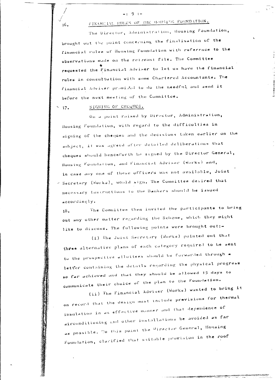#### $-: 9 : -$

# FINANCIAL RULES OF THE HOUSING FOUNDATION.

The Director, Administration, Housing Foundation, brought out the point concerning the finalisation of the financial rules of Housing Foundation with reference to the observations made on the refevant file. The Committee requested the Financial Adviser to let us have the financial rules in consultation with some Chartered Accountants. The Financial Adviser promised to do the needful and send it before the next meeting of the Committee.

SIGNING OF CHEQUES.  $17.$ 

16.

On a point raised by Director, Administration, Housing Foundation, with regard to the difficulties in signing of the cheques and the decisions taken earlier on the subject, it was agreed after detailed deliberations that cheques should henceforth be signed by the Director General, Housing Foundation, and Financial Adviser (Works) and, in case any one of these officers was not available, Joint - Secretary (Works), would sign. The Committee desired that necessary thstructions to the Bankers should be issued accordingly.

The Committee then invited the participants to bring  $18.$ out any other matter regarding the Scheme, which they might like to discuss. The following points were brought out:-

(1) The Joint Secretary (Works) pointed out that three alternative plans of each category required to be sent to the prospective allottees should be forwarded through a letter containing the details regarding the physical progress so far achieved and that they should be allowed 15 days to communicate their choice of the plan to the Foundation. (ii) The Financial Adviser (Works) wanted to bring it

on record that the design must include provisions for thermal insulation in an effective manner and that dependence of airconditioning and other installations be avoided as far as possible. To this point the Pirector General, Housing Foundation, clarified that suitable provision in the roof